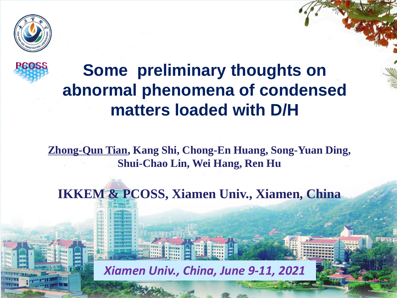



### **Some preliminary thoughts on abnormal phenomena of condensed matters loaded with D/H**

**Zhong-Qun Tian, Kang Shi, Chong-En Huang, Song-Yuan Ding, Shui-Chao Lin, Wei Hang, Ren Hu**

**IKKEM & PCOSS, Xiamen Univ., Xiamen, China**

*Xiamen Univ., China, June 9-11, 2021*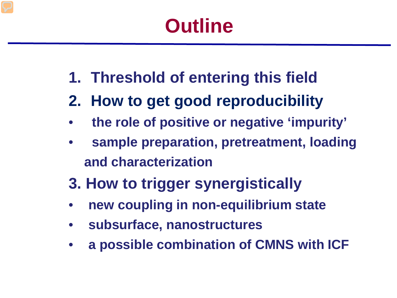# **Outline**

- **1. Threshold of entering this field**
- **2. How to get good reproducibility**
- **the role of positive or negative 'impurity'**
- **sample preparation, pretreatment, loading and characterization**
- **3. How to trigger synergistically**
- **new coupling in non-equilibrium state**
- **subsurface, nanostructures**
- **a possible combination of CMNS with ICF**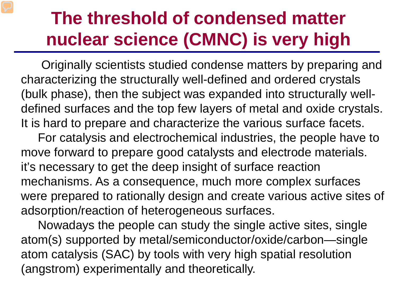## **The threshold of condensed matter nuclear science (CMNC) is very high**

Originally scientists studied condense matters by preparing and characterizing the structurally well-defined and ordered crystals (bulk phase), then the subject was expanded into structurally welldefined surfaces and the top few layers of metal and oxide crystals. It is hard to prepare and characterize the various surface facets.

For catalysis and electrochemical industries, the people have to move forward to prepare good catalysts and electrode materials. it's necessary to get the deep insight of surface reaction mechanisms. As a consequence, much more complex surfaces were prepared to rationally design and create various active sites of adsorption/reaction of heterogeneous surfaces.

Nowadays the people can study the single active sites, single atom(s) supported by metal/semiconductor/oxide/carbon—single atom catalysis (SAC) by tools with very high spatial resolution (angstrom) experimentally and theoretically.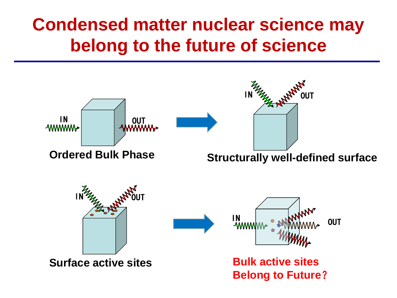## **Condensed matter nuclear science may belong to the future of science**

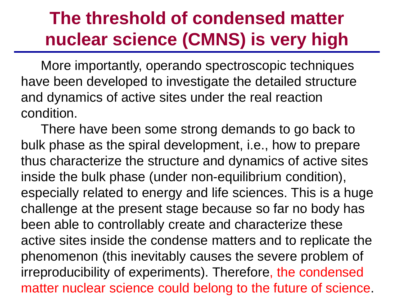## **The threshold of condensed matter nuclear science (CMNS) is very high**

More importantly, operando spectroscopic techniques have been developed to investigate the detailed structure and dynamics of active sites under the real reaction condition.

There have been some strong demands to go back to bulk phase as the spiral development, i.e., how to prepare thus characterize the structure and dynamics of active sites inside the bulk phase (under non-equilibrium condition), especially related to energy and life sciences. This is a huge challenge at the present stage because so far no body has been able to controllably create and characterize these active sites inside the condense matters and to replicate the phenomenon (this inevitably causes the severe problem of irreproducibility of experiments). Therefore, the condensed matter nuclear science could belong to the future of science.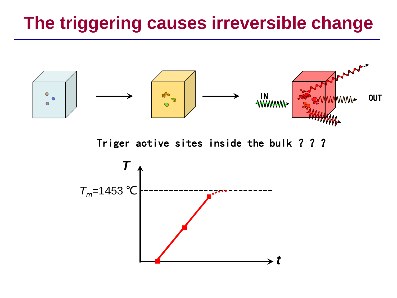## **The triggering causes irreversible change**



Triger active sites inside the bulk ? ? ?

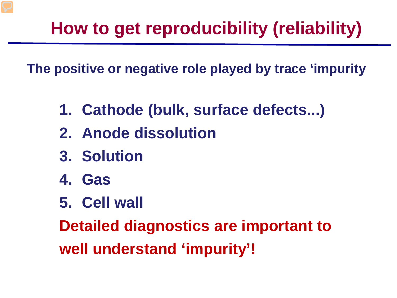# **How to get reproducibility (reliability)**

**The positive or negative role played by trace 'impurity**

- **1. Cathode (bulk, surface defects...)**
- **2. Anode dissolution**
- **3. Solution**
- **4. Gas**
- **5. Cell wall**

**Detailed diagnostics are important to well understand 'impurity'!**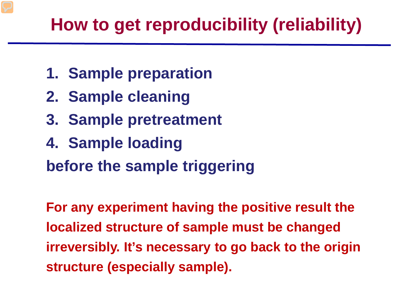## **How to get reproducibility (reliability)**

- **1. Sample preparation**
- **2. Sample cleaning**
- **3. Sample pretreatment**
- **4. Sample loading**

**before the sample triggering**

**For any experiment having the positive result the localized structure of sample must be changed irreversibly. It's necessary to go back to the origin structure (especially sample).**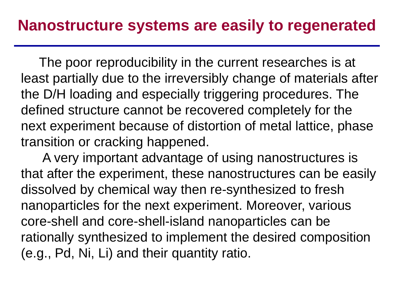The poor reproducibility in the current researches is at least partially due to the irreversibly change of materials after the D/H loading and especially triggering procedures. The defined structure cannot be recovered completely for the next experiment because of distortion of metal lattice, phase transition or cracking happened.

A very important advantage of using nanostructures is that after the experiment, these nanostructures can be easily dissolved by chemical way then re-synthesized to fresh nanoparticles for the next experiment. Moreover, various core-shell and core-shell-island nanoparticles can be rationally synthesized to implement the desired composition (e.g., Pd, Ni, Li) and their quantity ratio.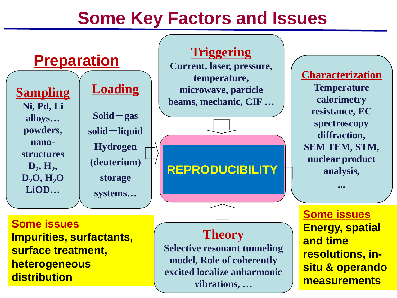### **Some Key Factors and Issues**

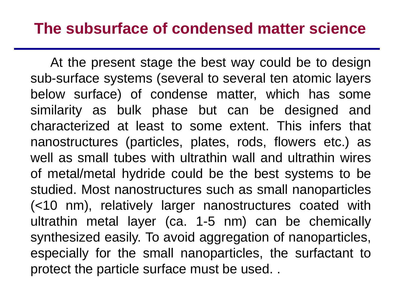### **The subsurface of condensed matter science**

At the present stage the best way could be to design sub-surface systems (several to several ten atomic layers below surface) of condense matter, which has some similarity as bulk phase but can be designed and characterized at least to some extent. This infers that nanostructures (particles, plates, rods, flowers etc.) as well as small tubes with ultrathin wall and ultrathin wires of metal/metal hydride could be the best systems to be studied. Most nanostructures such as small nanoparticles (<10 nm), relatively larger nanostructures coated with ultrathin metal layer (ca. 1-5 nm) can be chemically synthesized easily. To avoid aggregation of nanoparticles, especially for the small nanoparticles, the surfactant to protect the particle surface must be used. .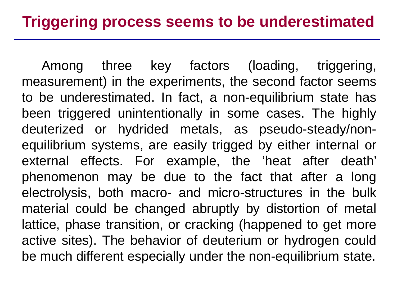Among three key factors (loading, triggering, measurement) in the experiments, the second factor seems to be underestimated. In fact, a non-equilibrium state has been triggered unintentionally in some cases. The highly deuterized or hydrided metals, as pseudo-steady/nonequilibrium systems, are easily trigged by either internal or external effects. For example, the 'heat after death' phenomenon may be due to the fact that after a long electrolysis, both macro- and micro-structures in the bulk material could be changed abruptly by distortion of metal lattice, phase transition, or cracking (happened to get more active sites). The behavior of deuterium or hydrogen could be much different especially under the non-equilibrium state.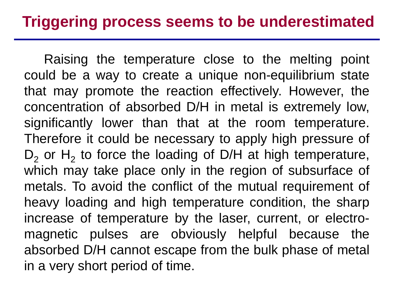Raising the temperature close to the melting point could be a way to create a unique non-equilibrium state that may promote the reaction effectively. However, the concentration of absorbed D/H in metal is extremely low, significantly lower than that at the room temperature. Therefore it could be necessary to apply high pressure of  $D_2$  or H<sub>2</sub> to force the loading of D/H at high temperature, which may take place only in the region of subsurface of metals. To avoid the conflict of the mutual requirement of heavy loading and high temperature condition, the sharp increase of temperature by the laser, current, or electromagnetic pulses are obviously helpful because the absorbed D/H cannot escape from the bulk phase of metal in a very short period of time.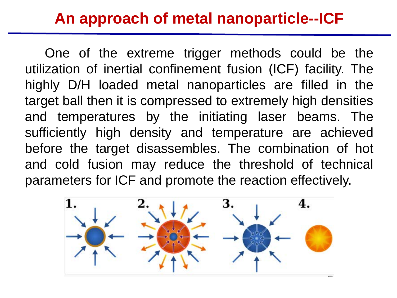### **An approach of metal nanoparticle--ICF**

One of the extreme trigger methods could be the utilization of inertial confinement fusion (ICF) facility. The highly D/H loaded metal nanoparticles are filled in the target ball then it is compressed to extremely high densities and temperatures by the initiating laser beams. The sufficiently high density and temperature are achieved before the target disassembles. The combination of hot and cold fusion may reduce the threshold of technical parameters for ICF and promote the reaction effectively.

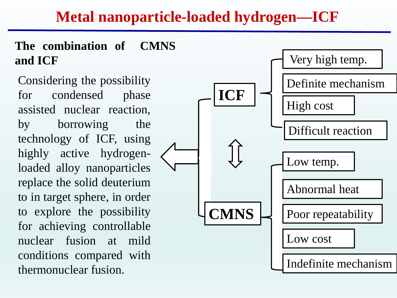### **Metal nanoparticle-loaded hydrogen—ICF**

#### **The combination of CMNS and ICF**

Considering the possibility for condensed phase assisted nuclear reaction, by borrowing the technology of ICF, using highly active hydrogenloaded alloy nanoparticles replace the solid deuterium to in target sphere, in order to explore the possibility for achieving controllable nuclear fusion at mild conditions compared with thermonuclear fusion.

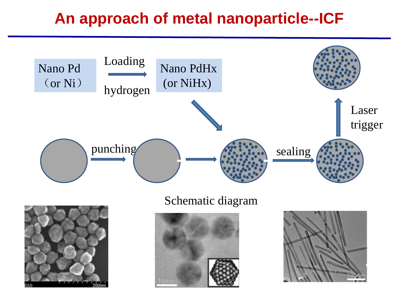### **An approach of metal nanoparticle--ICF**



#### Schematic diagram





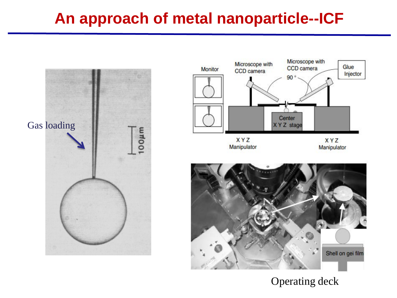### **An approach of metal nanoparticle--ICF**





#### Operating deck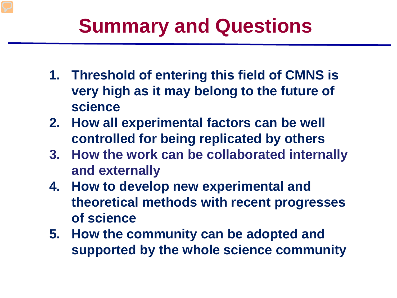# **Summary and Questions**

- **1. Threshold of entering this field of CMNS is very high as it may belong to the future of science**
- **2. How all experimental factors can be well controlled for being replicated by others**
- **3. How the work can be collaborated internally and externally**
- **4. How to develop new experimental and theoretical methods with recent progresses of science**
- **5. How the community can be adopted and supported by the whole science community**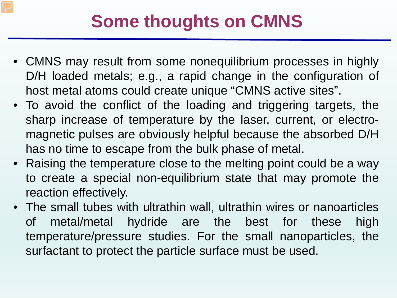### **Some thoughts on CMNS**

- CMNS may result from some nonequilibrium processes in highly D/H loaded metals; e.g., a rapid change in the configuration of host metal atoms could create unique "CMNS active sites".
- To avoid the conflict of the loading and triggering targets, the sharp increase of temperature by the laser, current, or electromagnetic pulses are obviously helpful because the absorbed D/H has no time to escape from the bulk phase of metal.
- Raising the temperature close to the melting point could be a way to create a special non-equilibrium state that may promote the reaction effectively.
- The small tubes with ultrathin wall, ultrathin wires or nanoarticles of metal/metal hydride are the best for these high temperature/pressure studies. For the small nanoparticles, the surfactant to protect the particle surface must be used.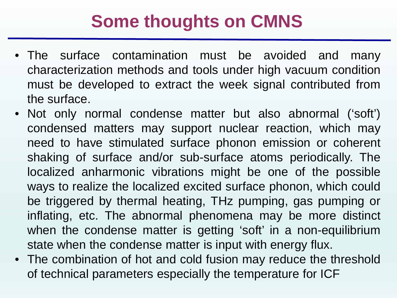### **Some thoughts on CMNS**

- The surface contamination must be avoided and many characterization methods and tools under high vacuum condition must be developed to extract the week signal contributed from the surface.
- Not only normal condense matter but also abnormal ('soft') condensed matters may support nuclear reaction, which may need to have stimulated surface phonon emission or coherent shaking of surface and/or sub-surface atoms periodically. The localized anharmonic vibrations might be one of the possible ways to realize the localized excited surface phonon, which could be triggered by thermal heating, THz pumping, gas pumping or inflating, etc. The abnormal phenomena may be more distinct when the condense matter is getting 'soft' in a non-equilibrium state when the condense matter is input with energy flux.
- The combination of hot and cold fusion may reduce the threshold of technical parameters especially the temperature for ICF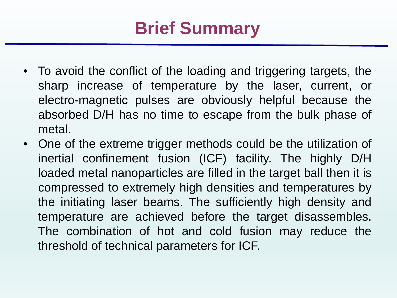# **Brief Summary**

- To avoid the conflict of the loading and triggering targets, the sharp increase of temperature by the laser, current, or electro-magnetic pulses are obviously helpful because the absorbed D/H has no time to escape from the bulk phase of metal.
- One of the extreme trigger methods could be the utilization of inertial confinement fusion (ICF) facility. The highly D/H loaded metal nanoparticles are filled in the target ball then it is compressed to extremely high densities and temperatures by the initiating laser beams. The sufficiently high density and temperature are achieved before the target disassembles. The combination of hot and cold fusion may reduce the threshold of technical parameters for ICF.